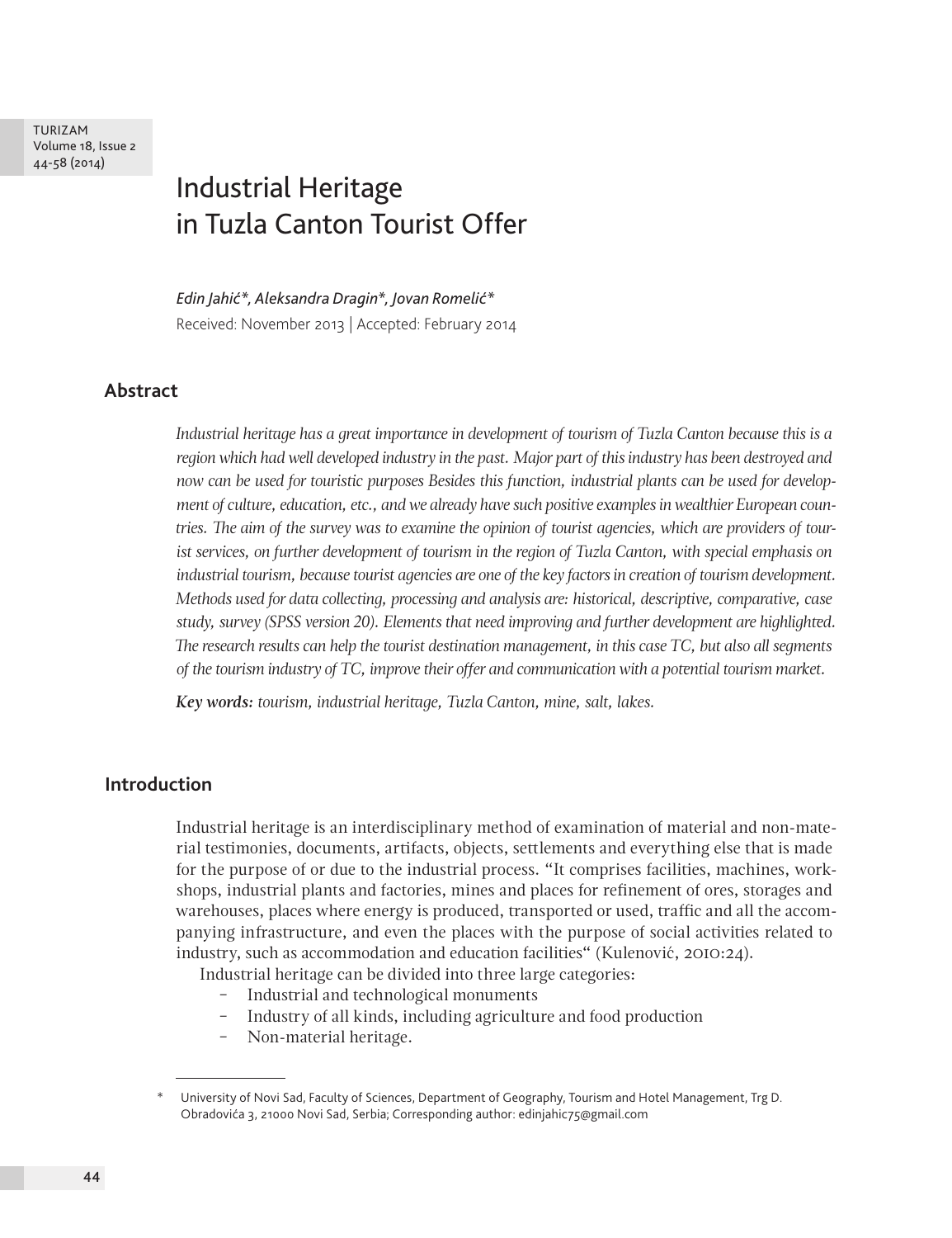# Industrial Heritage in Tuzla Canton Tourist Offer

*Edin Jahić\*, Aleksandra Dragin\*, Jovan Romelić\** Received: November 2013 | Accepted: February 2014

## **Abstract**

*Industrial heritage has a great importance in development of tourism of Tuzla Canton because this is a region which had well developed industry in the past. Major part of this industry has been destroyed and now can be used for touristic purposes Besides this function, industrial plants can be used for development of culture, education, etc., and we already have such positive examples in wealthier European countries. The aim of the survey was to examine the opinion of tourist agencies, which are providers of tourist services, on further development of tourism in the region of Tuzla Canton, with special emphasis on industrial tourism, because tourist agencies are one of the key factors in creation of tourism development. Methods used for data collecting, processing and analysis are: historical, descriptive, comparative, case study, survey (SPSS version 20). Elements that need improving and further development are highlighted. The research results can help the tourist destination management, in this case TC, but also all segments of the tourism industry of TC, improve their offer and communication with a potential tourism market.*

*Key words: tourism, industrial heritage, Tuzla Canton, mine, salt, lakes.*

## **Introduction**

Industrial heritage is an interdisciplinary method of examination of material and non-material testimonies, documents, artifacts, objects, settlements and everything else that is made for the purpose of or due to the industrial process. "It comprises facilities, machines, workshops, industrial plants and factories, mines and places for refinement of ores, storages and warehouses, places where energy is produced, transported or used, traffic and all the accompanying infrastructure, and even the places with the purpose of social activities related to industry, such as accommodation and education facilities" (Kulenović, 2010:24).

Industrial heritage can be divided into three large categories:

- ‒ Industrial and technological monuments
- ‒ Industry of all kinds, including agriculture and food production
- ‒ Non-material heritage.

University of Novi Sad, Faculty of Sciences, Department of Geography, Tourism and Hotel Management, Trg D. Obradovića 3, 21000 Novi Sad, Serbia; Corresponding author: edinjahic75@gmail.com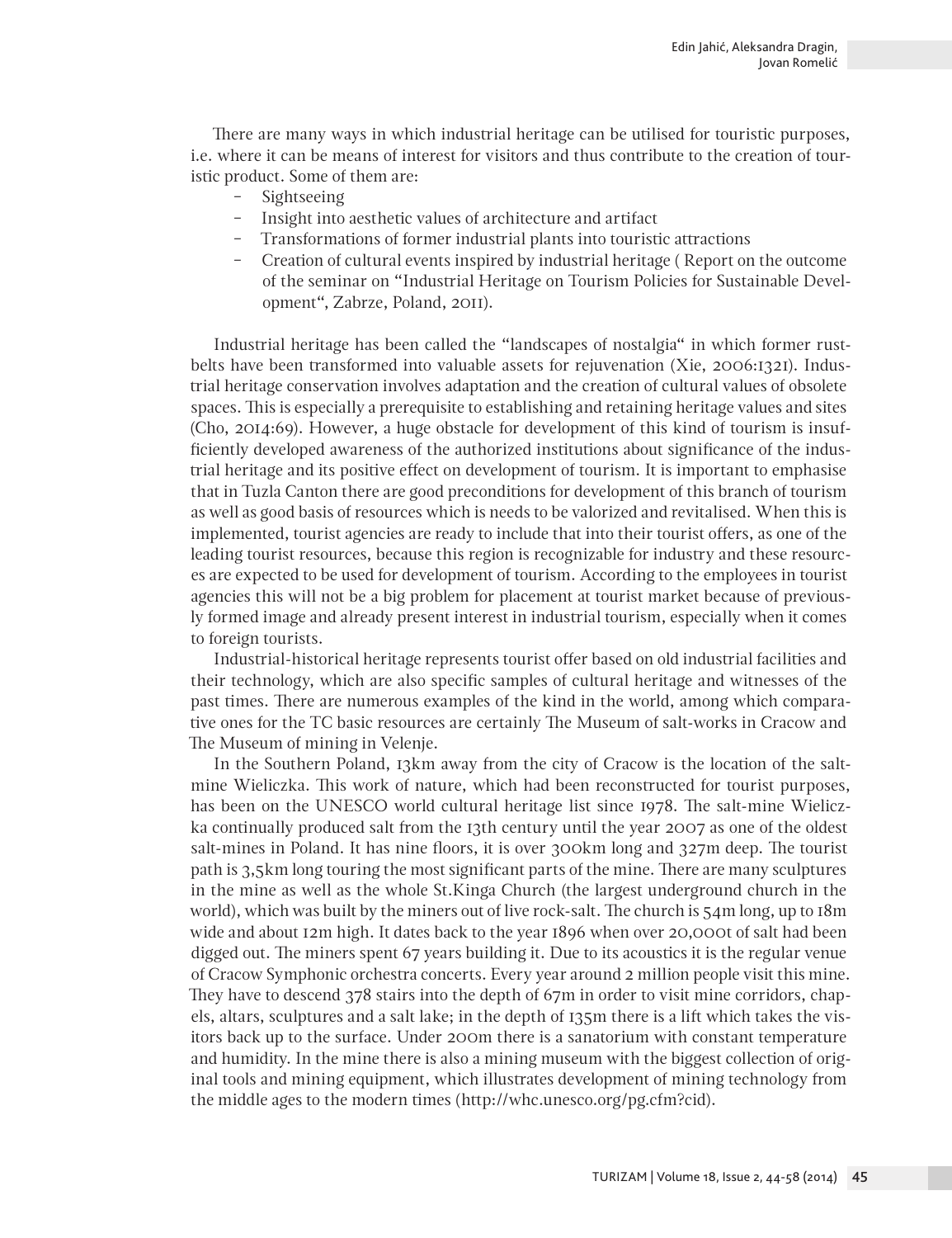There are many ways in which industrial heritage can be utilised for touristic purposes, i.e. where it can be means of interest for visitors and thus contribute to the creation of touristic product. Some of them are:

- Sightseeing<br>- Insight into
- ‒ Insight into aesthetic values of architecture and artifact
- ‒ Transformations of former industrial plants into touristic attractions
- ‒ Creation of cultural events inspired by industrial heritage ( Report on the outcome of the seminar on "Industrial Heritage on Tourism Policies for Sustainable Development", Zabrze, Poland, 2011).

Industrial heritage has been called the "landscapes of nostalgia" in which former rustbelts have been transformed into valuable assets for rejuvenation (Xie, 2006:1321). Industrial heritage conservation involves adaptation and the creation of cultural values of obsolete spaces. This is especially a prerequisite to establishing and retaining heritage values and sites (Cho, 2014:69). However, a huge obstacle for development of this kind of tourism is insufficiently developed awareness of the authorized institutions about significance of the industrial heritage and its positive effect on development of tourism. It is important to emphasise that in Tuzla Canton there are good preconditions for development of this branch of tourism as well as good basis of resources which is needs to be valorized and revitalised. When this is implemented, tourist agencies are ready to include that into their tourist offers, as one of the leading tourist resources, because this region is recognizable for industry and these resources are expected to be used for development of tourism. According to the employees in tourist agencies this will not be a big problem for placement at tourist market because of previously formed image and already present interest in industrial tourism, especially when it comes to foreign tourists.

Industrial-historical heritage represents tourist offer based on old industrial facilities and their technology, which are also specific samples of cultural heritage and witnesses of the past times. There are numerous examples of the kind in the world, among which comparative ones for the TC basic resources are certainly The Museum of salt-works in Cracow and The Museum of mining in Velenje.

In the Southern Poland, 13km away from the city of Cracow is the location of the saltmine Wieliczka. This work of nature, which had been reconstructed for tourist purposes, has been on the UNESCO world cultural heritage list since 1978. The salt-mine Wieliczka continually produced salt from the 13th century until the year 2007 as one of the oldest salt-mines in Poland. It has nine floors, it is over 300km long and 327m deep. The tourist path is 3,5km long touring the most significant parts of the mine. There are many sculptures in the mine as well as the whole St.Kinga Church (the largest underground church in the world), which was built by the miners out of live rock-salt. The church is 54m long, up to 18m wide and about 12m high. It dates back to the year 1896 when over 20,000t of salt had been digged out. The miners spent 67 years building it. Due to its acoustics it is the regular venue of Cracow Symphonic orchestra concerts. Every year around 2 million people visit this mine. They have to descend 378 stairs into the depth of 67m in order to visit mine corridors, chapels, altars, sculptures and a salt lake; in the depth of 135m there is a lift which takes the visitors back up to the surface. Under 200m there is a sanatorium with constant temperature and humidity. In the mine there is also a mining museum with the biggest collection of original tools and mining equipment, which illustrates development of mining technology from the middle ages to the modern times (http://whc.unesco.org/pg.cfm?cid).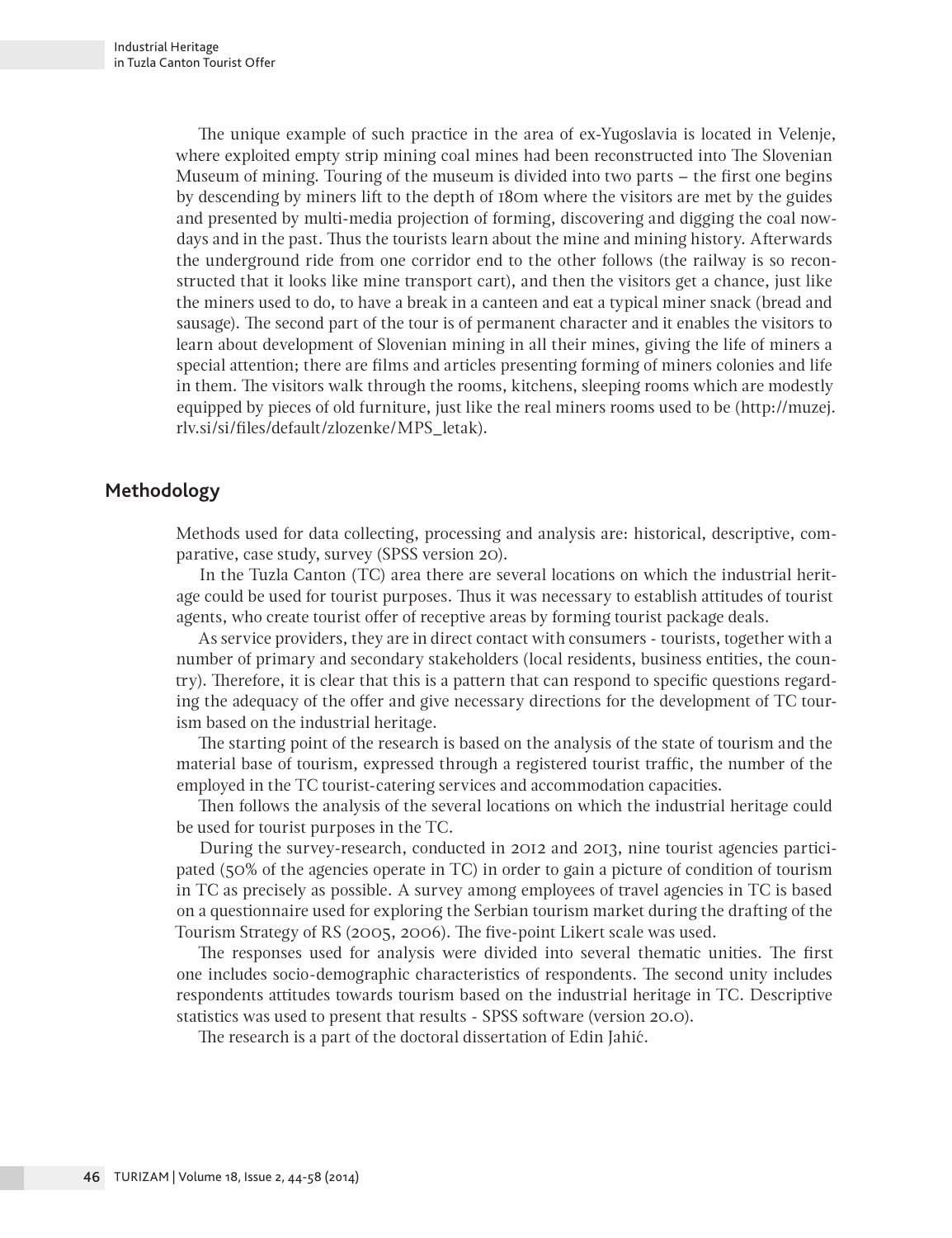The unique example of such practice in the area of ex-Yugoslavia is located in Velenje, where exploited empty strip mining coal mines had been reconstructed into The Slovenian Museum of mining. Touring of the museum is divided into two parts – the first one begins by descending by miners lift to the depth of 180m where the visitors are met by the guides and presented by multi-media projection of forming, discovering and digging the coal nowdays and in the past. Thus the tourists learn about the mine and mining history. Afterwards the underground ride from one corridor end to the other follows (the railway is so reconstructed that it looks like mine transport cart), and then the visitors get a chance, just like the miners used to do, to have a break in a canteen and eat a typical miner snack (bread and sausage). The second part of the tour is of permanent character and it enables the visitors to learn about development of Slovenian mining in all their mines, giving the life of miners a special attention; there are films and articles presenting forming of miners colonies and life in them. The visitors walk through the rooms, kitchens, sleeping rooms which are modestly equipped by pieces of old furniture, just like the real miners rooms used to be (http://muzej. rlv.si/si/files/default/zlozenke/MPS\_letak).

# **Methodology**

Methods used for data collecting, processing and analysis are: historical, descriptive, comparative, case study, survey (SPSS version 20).

In the Tuzla Canton (TC) area there are several locations on which the industrial heritage could be used for tourist purposes. Thus it was necessary to establish attitudes of tourist agents, who create tourist offer of receptive areas by forming tourist package deals.

As service providers, they are in direct contact with consumers - tourists, together with a number of primary and secondary stakeholders (local residents, business entities, the country). Therefore, it is clear that this is a pattern that can respond to specific questions regarding the adequacy of the offer and give necessary directions for the development of TC tourism based on the industrial heritage.

The starting point of the research is based on the analysis of the state of tourism and the material base of tourism, expressed through a registered tourist traffic, the number of the employed in the TC tourist-catering services and accommodation capacities.

Then follows the analysis of the several locations on which the industrial heritage could be used for tourist purposes in the TC.

During the survey-research, conducted in 2012 and 2013, nine tourist agencies participated (50% of the agencies operate in TC) in order to gain a picture of condition of tourism in TC as precisely as possible. A survey among employees of travel agencies in TC is based on a questionnaire used for exploring the Serbian tourism market during the drafting of the Tourism Strategy of RS (2005, 2006). The five-point Likert scale was used.

The responses used for analysis were divided into several thematic unities. The first one includes socio-demographic characteristics of respondents. The second unity includes respondents attitudes towards tourism based on the industrial heritage in TC. Descriptive statistics was used to present that results - SPSS software (version 20.0).

The research is a part of the doctoral dissertation of Edin Jahić.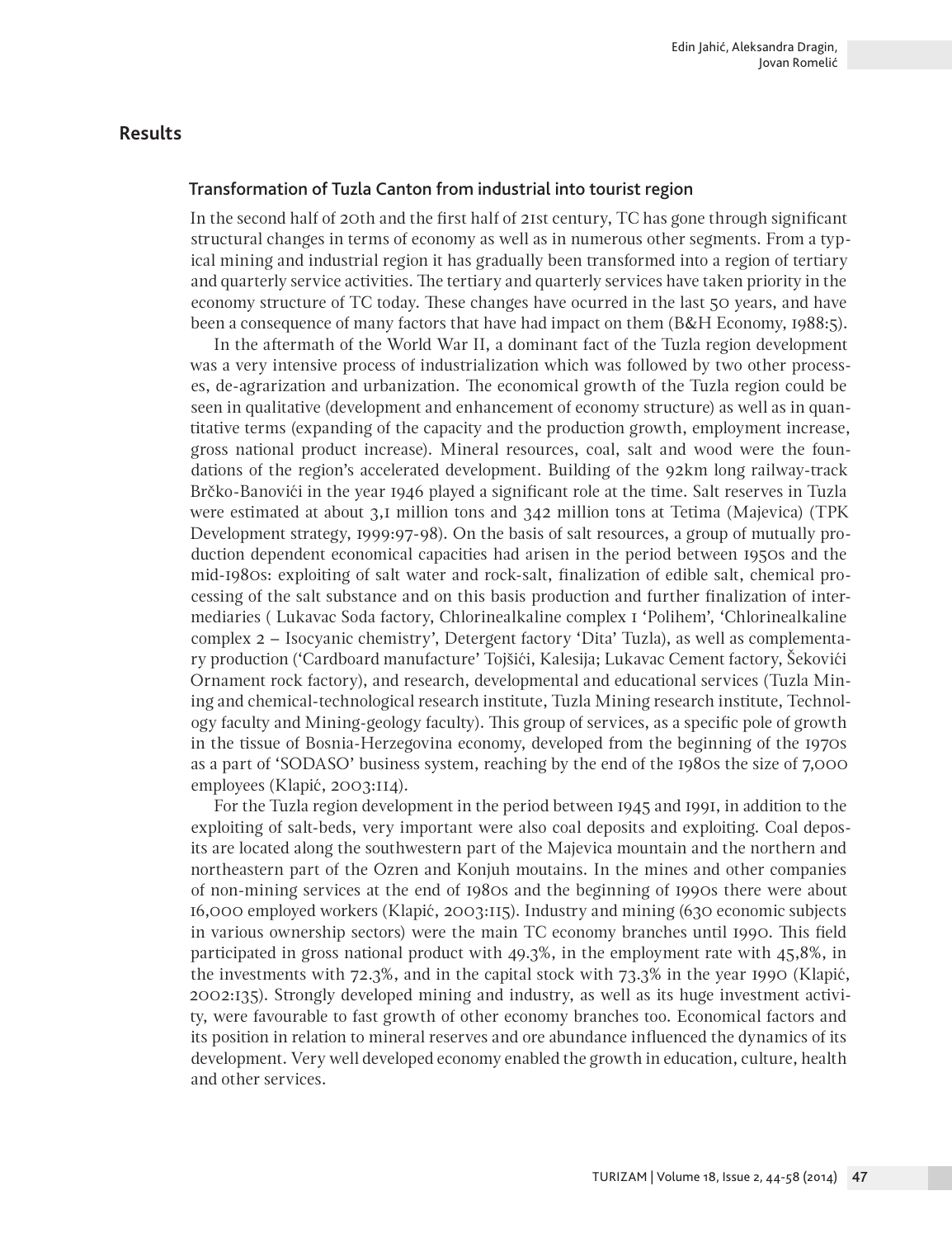## **Results**

#### Transformation of Tuzla Canton from industrial into tourist region

In the second half of 20th and the first half of 21st century, TC has gone through significant structural changes in terms of economy as well as in numerous other segments. From a typical mining and industrial region it has gradually been transformed into a region of tertiary and quarterly service activities. The tertiary and quarterly services have taken priority in the economy structure of TC today. These changes have ocurred in the last 50 years, and have been a consequence of many factors that have had impact on them (B&H Economy, 1988:5).

In the aftermath of the World War II, a dominant fact of the Tuzla region development was a very intensive process of industrialization which was followed by two other processes, de-agrarization and urbanization. The economical growth of the Tuzla region could be seen in qualitative (development and enhancement of economy structure) as well as in quantitative terms (expanding of the capacity and the production growth, employment increase, gross national product increase). Mineral resources, coal, salt and wood were the foundations of the region's accelerated development. Building of the 92km long railway-track Brčko-Banovići in the year 1946 played a significant role at the time. Salt reserves in Tuzla were estimated at about 3,1 million tons and 342 million tons at Tetima (Majevica) (TPK Development strategy, 1999:97-98). On the basis of salt resources, a group of mutually production dependent economical capacities had arisen in the period between 1950s and the mid-1980s: exploiting of salt water and rock-salt, finalization of edible salt, chemical processing of the salt substance and on this basis production and further finalization of intermediaries ( Lukavac Soda factory, Chlorinealkaline complex 1 'Polihem', 'Chlorinealkaline complex 2 – Isocyanic chemistry', Detergent factory 'Dita' Tuzla), as well as complementary production ('Cardboard manufacture' Tojšići, Kalesija; Lukavac Cement factory, Šekovići Ornament rock factory), and research, developmental and educational services (Tuzla Mining and chemical-technological research institute, Tuzla Mining research institute, Technology faculty and Mining-geology faculty). This group of services, as a specific pole of growth in the tissue of Bosnia-Herzegovina economy, developed from the beginning of the 1970s as a part of 'SODASO' business system, reaching by the end of the 1980s the size of 7,000 employees (Klapić, 2003:114).

For the Tuzla region development in the period between 1945 and 1991, in addition to the exploiting of salt-beds, very important were also coal deposits and exploiting. Coal deposits are located along the southwestern part of the Majevica mountain and the northern and northeastern part of the Ozren and Konjuh moutains. In the mines and other companies of non-mining services at the end of 1980s and the beginning of 1990s there were about 16,000 employed workers (Klapić, 2003:115). Industry and mining (630 economic subjects in various ownership sectors) were the main TC economy branches until 1990. This field participated in gross national product with 49.3%, in the employment rate with 45,8%, in the investments with 72.3%, and in the capital stock with 73.3% in the year 1990 (Klapić, 2002:135). Strongly developed mining and industry, as well as its huge investment activity, were favourable to fast growth of other economy branches too. Economical factors and its position in relation to mineral reserves and ore abundance influenced the dynamics of its development. Very well developed economy enabled the growth in education, culture, health and other services.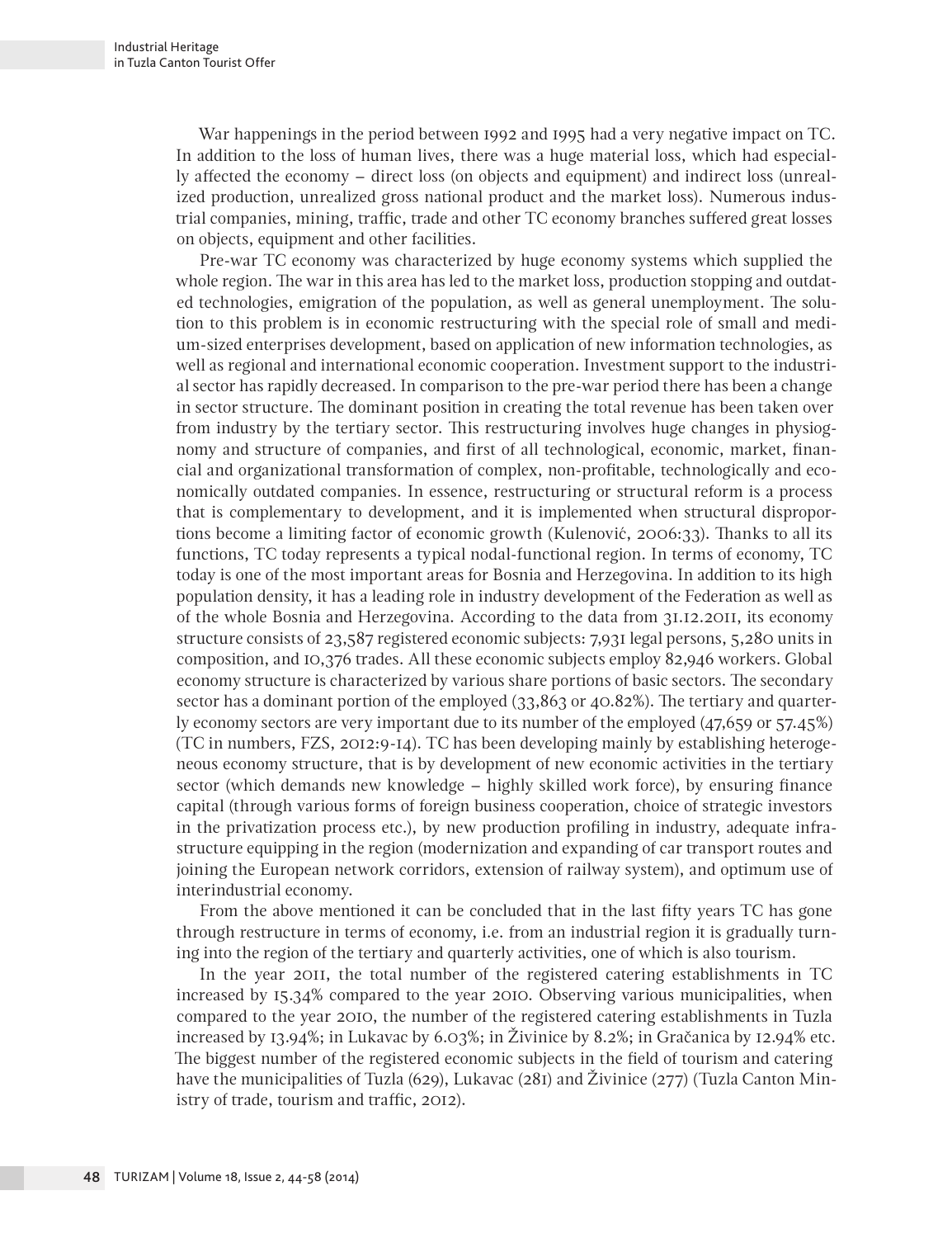War happenings in the period between 1992 and 1995 had a very negative impact on TC. In addition to the loss of human lives, there was a huge material loss, which had especially affected the economy – direct loss (on objects and equipment) and indirect loss (unrealized production, unrealized gross national product and the market loss). Numerous industrial companies, mining, traffic, trade and other TC economy branches suffered great losses on objects, equipment and other facilities.

Pre-war TC economy was characterized by huge economy systems which supplied the whole region. The war in this area has led to the market loss, production stopping and outdated technologies, emigration of the population, as well as general unemployment. The solution to this problem is in economic restructuring with the special role of small and medium-sized enterprises development, based on application of new information technologies, as well as regional and international economic cooperation. Investment support to the industrial sector has rapidly decreased. In comparison to the pre-war period there has been a change in sector structure. The dominant position in creating the total revenue has been taken over from industry by the tertiary sector. This restructuring involves huge changes in physiognomy and structure of companies, and first of all technological, economic, market, financial and organizational transformation of complex, non-profitable, technologically and economically outdated companies. In essence, restructuring or structural reform is a process that is complementary to development, and it is implemented when structural disproportions become a limiting factor of economic growth (Kulenović, 2006:33). Thanks to all its functions, TC today represents a typical nodal-functional region. In terms of economy, TC today is one of the most important areas for Bosnia and Herzegovina. In addition to its high population density, it has a leading role in industry development of the Federation as well as of the whole Bosnia and Herzegovina. According to the data from 31.12.2011, its economy structure consists of 23,587 registered economic subjects: 7,931 legal persons, 5,280 units in composition, and 10,376 trades. All these economic subjects employ 82,946 workers. Global economy structure is characterized by various share portions of basic sectors. The secondary sector has a dominant portion of the employed (33,863 or 40.82%). The tertiary and quarterly economy sectors are very important due to its number of the employed (47,659 or 57.45%) (TC in numbers, FZS, 2012:9-14). TC has been developing mainly by establishing heterogeneous economy structure, that is by development of new economic activities in the tertiary sector (which demands new knowledge – highly skilled work force), by ensuring finance capital (through various forms of foreign business cooperation, choice of strategic investors in the privatization process etc.), by new production profiling in industry, adequate infrastructure equipping in the region (modernization and expanding of car transport routes and joining the European network corridors, extension of railway system), and optimum use of interindustrial economy.

From the above mentioned it can be concluded that in the last fifty years TC has gone through restructure in terms of economy, i.e. from an industrial region it is gradually turning into the region of the tertiary and quarterly activities, one of which is also tourism.

In the year 2011, the total number of the registered catering establishments in TC increased by 15.34% compared to the year 2010. Observing various municipalities, when compared to the year 2010, the number of the registered catering establishments in Tuzla increased by 13.94%; in Lukavac by 6.03%; in Živinice by 8.2%; in Gračanica by 12.94% etc. The biggest number of the registered economic subjects in the field of tourism and catering have the municipalities of Tuzla (629), Lukavac (281) and Živinice (277) (Tuzla Canton Ministry of trade, tourism and traffic, 2012).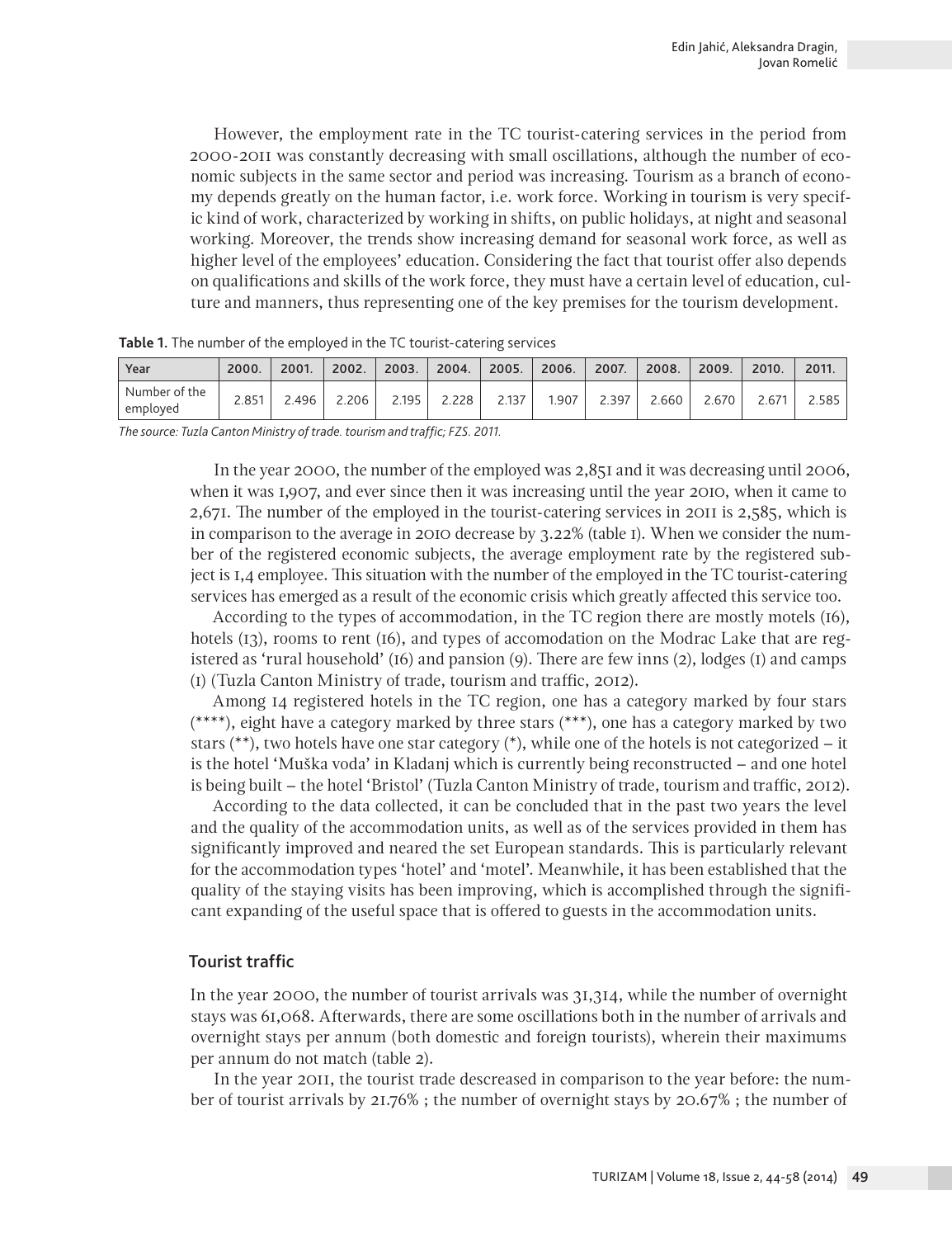However, the employment rate in the TC tourist-catering services in the period from 2000-2011 was constantly decreasing with small oscillations, although the number of economic subjects in the same sector and period was increasing. Tourism as a branch of economy depends greatly on the human factor, i.e. work force. Working in tourism is very specific kind of work, characterized by working in shifts, on public holidays, at night and seasonal working. Moreover, the trends show increasing demand for seasonal work force, as well as higher level of the employees' education. Considering the fact that tourist offer also depends on qualifications and skills of the work force, they must have a certain level of education, culture and manners, thus representing one of the key premises for the tourism development.

| Year                      | 2000. | 2001. | 2002. | 2003. | 2004. | 2005. | 2006. | 2007. | 2008. | 2009. | 2010.          | 2011. |
|---------------------------|-------|-------|-------|-------|-------|-------|-------|-------|-------|-------|----------------|-------|
| Number of the<br>employed | 2.851 | 2.496 | 2.206 | 2.195 | .228  | 2.137 | .907  | 7.39∠ | 2.660 | 2.670 | $2.67^{\circ}$ | 2.585 |

**Table 1.** The number of the employed in the TC tourist-catering services

*The source: Tuzla Canton Ministry of trade. tourism and traffic; FZS. 2011.*

In the year 2000, the number of the employed was 2,851 and it was decreasing until 2006, when it was 1,907, and ever since then it was increasing until the year 2010, when it came to 2,671. The number of the employed in the tourist-catering services in 2011 is 2,585, which is in comparison to the average in 2010 decrease by 3.22% (table 1). When we consider the number of the registered economic subjects, the average employment rate by the registered subject is 1,4 employee. This situation with the number of the employed in the TC tourist-catering services has emerged as a result of the economic crisis which greatly affected this service too.

According to the types of accommodation, in the TC region there are mostly motels (16), hotels (13), rooms to rent (16), and types of accomodation on the Modrac Lake that are registered as 'rural household' (16) and pansion (9). There are few inns (2), lodges (1) and camps (1) (Tuzla Canton Ministry of trade, tourism and traffic, 2012).

Among 14 registered hotels in the TC region, one has a category marked by four stars (\*\*\*\*), eight have a category marked by three stars (\*\*\*), one has a category marked by two stars (\*\*), two hotels have one star category (\*), while one of the hotels is not categorized – it is the hotel 'Muška voda' in Kladanj which is currently being reconstructed – and one hotel is being built – the hotel 'Bristol' (Tuzla Canton Ministry of trade, tourism and traffic, 2012).

According to the data collected, it can be concluded that in the past two years the level and the quality of the accommodation units, as well as of the services provided in them has significantly improved and neared the set European standards. This is particularly relevant for the accommodation types 'hotel' and 'motel'. Meanwhile, it has been established that the quality of the staying visits has been improving, which is accomplished through the significant expanding of the useful space that is offered to guests in the accommodation units.

## Tourist traffic

In the year 2000, the number of tourist arrivals was 31,314, while the number of overnight stays was 61,068. Afterwards, there are some oscillations both in the number of arrivals and overnight stays per annum (both domestic and foreign tourists), wherein their maximums per annum do not match (table 2).

In the year 2011, the tourist trade descreased in comparison to the year before: the number of tourist arrivals by 21.76% ; the number of overnight stays by 20.67% ; the number of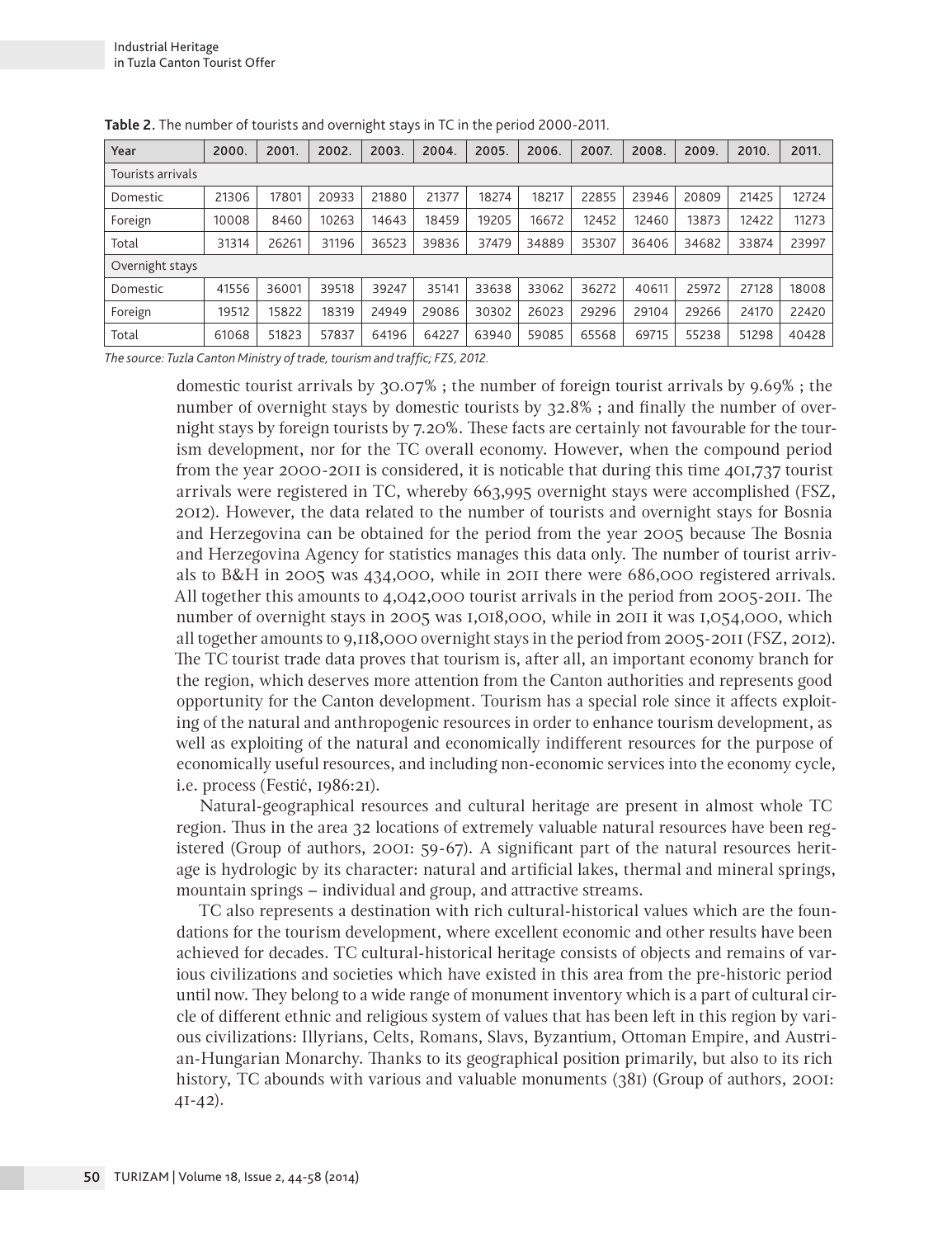| Year              | 2000  | 2001. | 2002. | 2003. | 2004. | 2005. | 2006. | 2007  | 2008. | 2009. | 2010. | 2011. |
|-------------------|-------|-------|-------|-------|-------|-------|-------|-------|-------|-------|-------|-------|
| Tourists arrivals |       |       |       |       |       |       |       |       |       |       |       |       |
| Domestic          | 21306 | 17801 | 20933 | 21880 | 21377 | 18274 | 18217 | 22855 | 23946 | 20809 | 21425 | 12724 |
| Foreign           | 10008 | 8460  | 10263 | 14643 | 18459 | 19205 | 16672 | 12452 | 12460 | 13873 | 12422 | 11273 |
| Total             | 31314 | 26261 | 31196 | 36523 | 39836 | 37479 | 34889 | 35307 | 36406 | 34682 | 33874 | 23997 |
| Overnight stays   |       |       |       |       |       |       |       |       |       |       |       |       |
| Domestic          | 41556 | 36001 | 39518 | 39247 | 35141 | 33638 | 33062 | 36272 | 40611 | 25972 | 27128 | 18008 |
| Foreign           | 19512 | 15822 | 18319 | 24949 | 29086 | 30302 | 26023 | 29296 | 29104 | 29266 | 24170 | 22420 |
| Total             | 61068 | 51823 | 57837 | 64196 | 64227 | 63940 | 59085 | 65568 | 69715 | 55238 | 51298 | 40428 |

**Table 2.** The number of tourists and overnight stays in TC in the period 2000-2011.

*The source: Tuzla Canton Ministry of trade, tourism and traffic; FZS, 2012.*

domestic tourist arrivals by 30.07% ; the number of foreign tourist arrivals by 9.69% ; the number of overnight stays by domestic tourists by 32.8% ; and finally the number of overnight stays by foreign tourists by 7.20%. These facts are certainly not favourable for the tourism development, nor for the TC overall economy. However, when the compound period from the year 2000-2011 is considered, it is noticable that during this time 401,737 tourist arrivals were registered in TC, whereby 663,995 overnight stays were accomplished (FSZ, 2012). However, the data related to the number of tourists and overnight stays for Bosnia and Herzegovina can be obtained for the period from the year 2005 because The Bosnia and Herzegovina Agency for statistics manages this data only. The number of tourist arrivals to B&H in 2005 was 434,000, while in 2011 there were 686,000 registered arrivals. All together this amounts to 4,042,000 tourist arrivals in the period from 2005-2011. The number of overnight stays in 2005 was 1,018,000, while in 2011 it was 1,054,000, which all together amounts to 9,118,000 overnight stays in the period from 2005-2011 (FSZ, 2012). The TC tourist trade data proves that tourism is, after all, an important economy branch for the region, which deserves more attention from the Canton authorities and represents good opportunity for the Canton development. Tourism has a special role since it affects exploiting of the natural and anthropogenic resources in order to enhance tourism development, as well as exploiting of the natural and economically indifferent resources for the purpose of economically useful resources, and including non-economic services into the economy cycle, i.e. process (Festić, 1986:21).

Natural-geographical resources and cultural heritage are present in almost whole TC region. Thus in the area 32 locations of extremely valuable natural resources have been registered (Group of authors, 2001: 59-67). A significant part of the natural resources heritage is hydrologic by its character: natural and artificial lakes, thermal and mineral springs, mountain springs – individual and group, and attractive streams.

TC also represents a destination with rich cultural-historical values which are the foundations for the tourism development, where excellent economic and other results have been achieved for decades. TC cultural-historical heritage consists of objects and remains of various civilizations and societies which have existed in this area from the pre-historic period until now. They belong to a wide range of monument inventory which is a part of cultural circle of different ethnic and religious system of values that has been left in this region by various civilizations: Illyrians, Celts, Romans, Slavs, Byzantium, Ottoman Empire, and Austrian-Hungarian Monarchy. Thanks to its geographical position primarily, but also to its rich history, TC abounds with various and valuable monuments (381) (Group of authors, 2001: 41-42).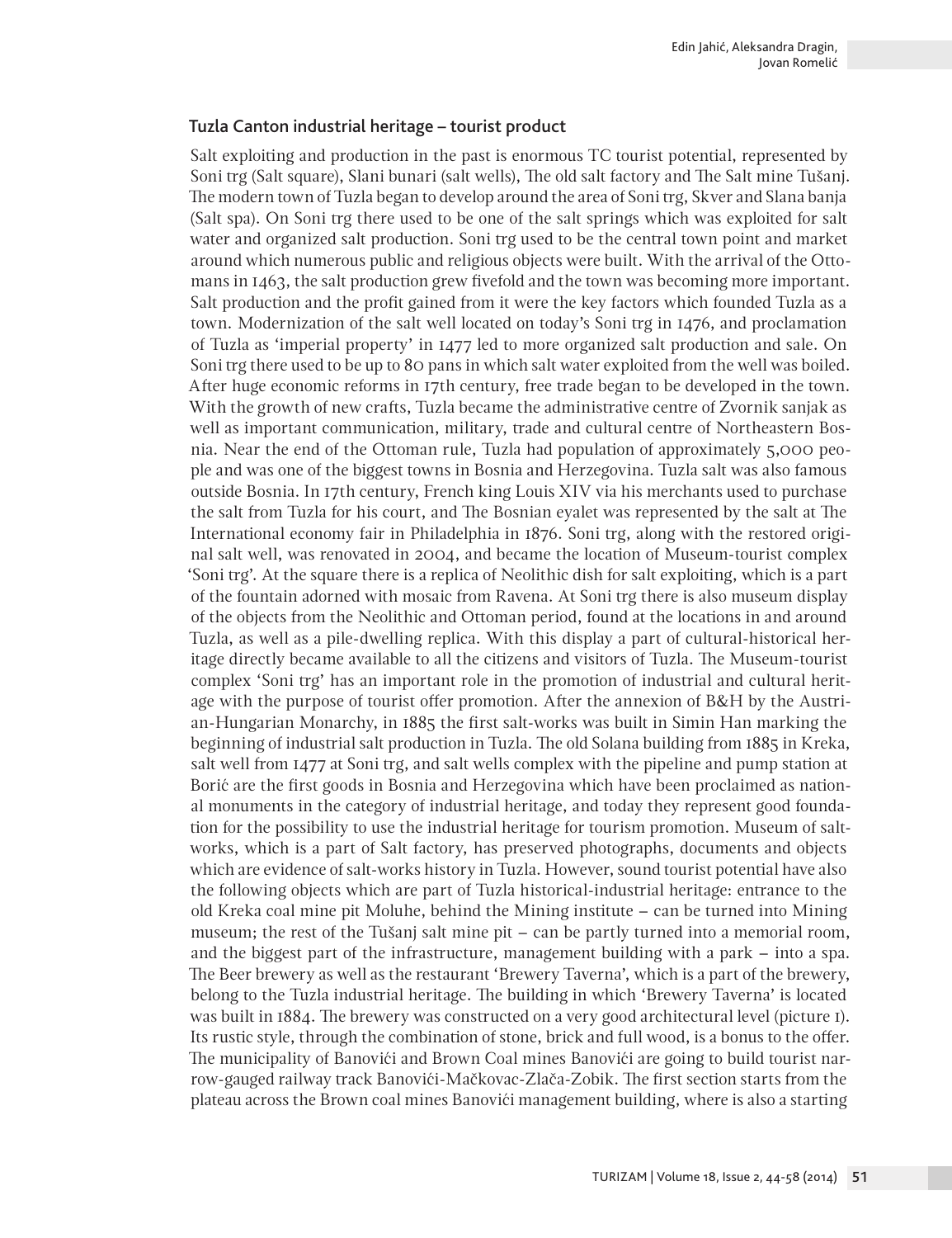#### Tuzla Canton industrial heritage – tourist product

Salt exploiting and production in the past is enormous TC tourist potential, represented by Soni trg (Salt square), Slani bunari (salt wells), The old salt factory and The Salt mine Tušanj. The modern town of Tuzla began to develop around the area of Soni trg, Skver and Slana banja (Salt spa). On Soni trg there used to be one of the salt springs which was exploited for salt water and organized salt production. Soni trg used to be the central town point and market around which numerous public and religious objects were built. With the arrival of the Ottomans in 1463, the salt production grew fivefold and the town was becoming more important. Salt production and the profit gained from it were the key factors which founded Tuzla as a town. Modernization of the salt well located on today's Soni trg in 1476, and proclamation of Tuzla as 'imperial property' in 1477 led to more organized salt production and sale. On Soni trg there used to be up to 80 pans in which salt water exploited from the well was boiled. After huge economic reforms in 17th century, free trade began to be developed in the town. With the growth of new crafts, Tuzla became the administrative centre of Zvornik sanjak as well as important communication, military, trade and cultural centre of Northeastern Bosnia. Near the end of the Ottoman rule, Tuzla had population of approximately 5,000 people and was one of the biggest towns in Bosnia and Herzegovina. Tuzla salt was also famous outside Bosnia. In 17th century, French king Louis XIV via his merchants used to purchase the salt from Tuzla for his court, and The Bosnian eyalet was represented by the salt at The International economy fair in Philadelphia in 1876. Soni trg, along with the restored original salt well, was renovated in 2004, and became the location of Museum-tourist complex 'Soni trg'. At the square there is a replica of Neolithic dish for salt exploiting, which is a part of the fountain adorned with mosaic from Ravena. At Soni trg there is also museum display of the objects from the Neolithic and Ottoman period, found at the locations in and around Tuzla, as well as a pile-dwelling replica. With this display a part of cultural-historical heritage directly became available to all the citizens and visitors of Tuzla. The Museum-tourist complex 'Soni trg' has an important role in the promotion of industrial and cultural heritage with the purpose of tourist offer promotion. After the annexion of B&H by the Austrian-Hungarian Monarchy, in 1885 the first salt-works was built in Simin Han marking the beginning of industrial salt production in Tuzla. The old Solana building from 1885 in Kreka, salt well from 1477 at Soni trg, and salt wells complex with the pipeline and pump station at Borić are the first goods in Bosnia and Herzegovina which have been proclaimed as national monuments in the category of industrial heritage, and today they represent good foundation for the possibility to use the industrial heritage for tourism promotion. Museum of saltworks, which is a part of Salt factory, has preserved photographs, documents and objects which are evidence of salt-works history in Tuzla. However, sound tourist potential have also the following objects which are part of Tuzla historical-industrial heritage: entrance to the old Kreka coal mine pit Moluhe, behind the Mining institute – can be turned into Mining museum; the rest of the Tušanj salt mine pit – can be partly turned into a memorial room, and the biggest part of the infrastructure, management building with a park – into a spa. The Beer brewery as well as the restaurant 'Brewery Taverna', which is a part of the brewery, belong to the Tuzla industrial heritage. The building in which 'Brewery Taverna' is located was built in 1884. The brewery was constructed on a very good architectural level (picture 1). Its rustic style, through the combination of stone, brick and full wood, is a bonus to the offer. The municipality of Banovići and Brown Coal mines Banovići are going to build tourist narrow-gauged railway track Banovići-Mačkovac-Zlača-Zobik. The first section starts from the plateau across the Brown coal mines Banovići management building, where is also a starting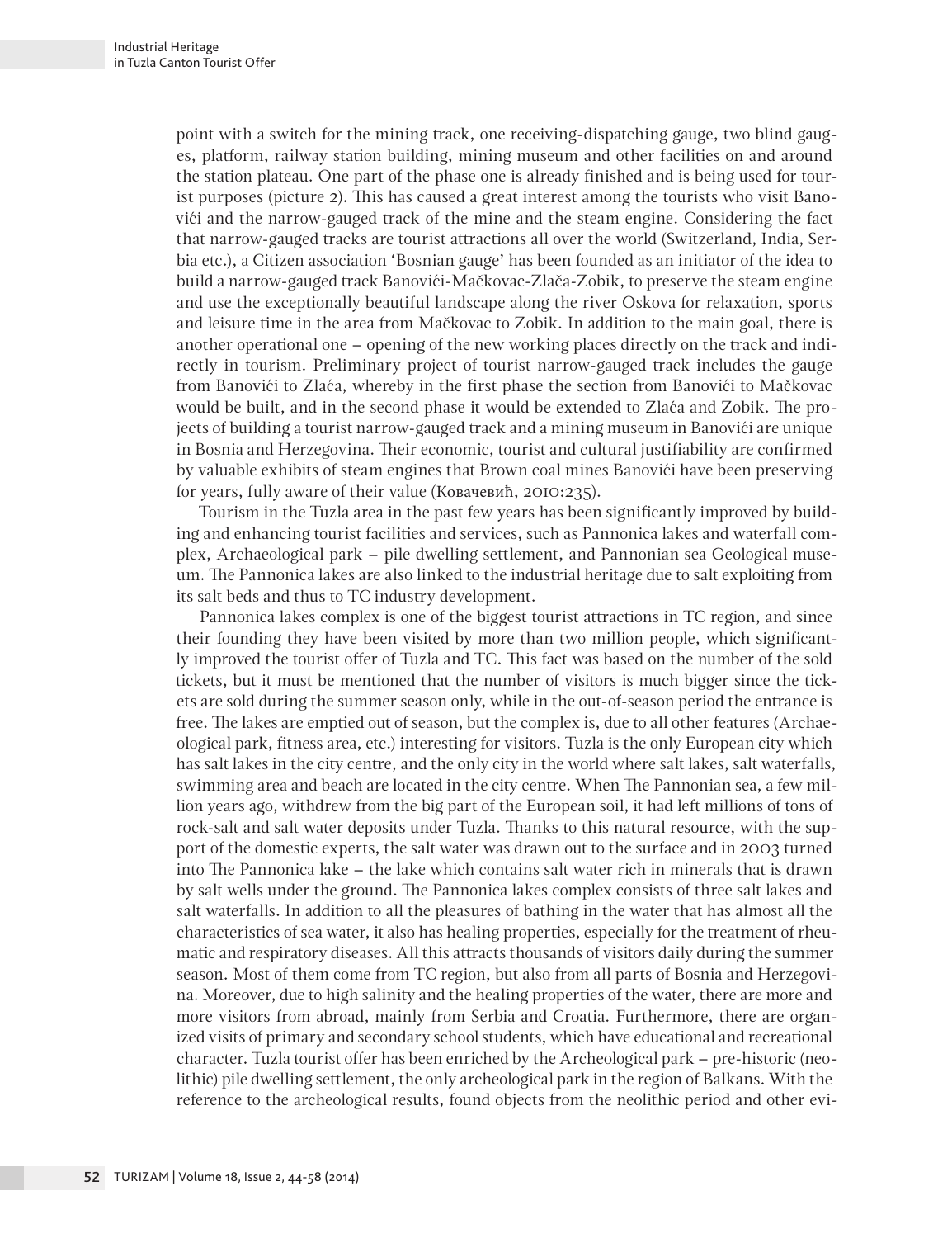point with a switch for the mining track, one receiving-dispatching gauge, two blind gauges, platform, railway station building, mining museum and other facilities on and around the station plateau. One part of the phase one is already finished and is being used for tourist purposes (picture 2). This has caused a great interest among the tourists who visit Banovići and the narrow-gauged track of the mine and the steam engine. Considering the fact that narrow-gauged tracks are tourist attractions all over the world (Switzerland, India, Serbia etc.), a Citizen association 'Bosnian gauge' has been founded as an initiator of the idea to build a narrow-gauged track Banovići-Mačkovac-Zlača-Zobik, to preserve the steam engine and use the exceptionally beautiful landscape along the river Oskova for relaxation, sports and leisure time in the area from Mačkovac to Zobik. In addition to the main goal, there is another operational one – opening of the new working places directly on the track and indirectly in tourism. Preliminary project of tourist narrow-gauged track includes the gauge from Banovići to Zlaća, whereby in the first phase the section from Banovići to Mačkovac would be built, and in the second phase it would be extended to Zlaća and Zobik. The projects of building a tourist narrow-gauged track and a mining museum in Banovići are unique in Bosnia and Herzegovina. Their economic, tourist and cultural justifiability are confirmed by valuable exhibits of steam engines that Brown coal mines Banovići have been preserving for years, fully aware of their value (Ковачевић, 2010:235).

Tourism in the Tuzla area in the past few years has been significantly improved by building and enhancing tourist facilities and services, such as Pannonica lakes and waterfall complex, Archaeological park – pile dwelling settlement, and Pannonian sea Geological museum. The Pannonica lakes are also linked to the industrial heritage due to salt exploiting from its salt beds and thus to TC industry development.

Pannonica lakes complex is one of the biggest tourist attractions in TC region, and since their founding they have been visited by more than two million people, which significantly improved the tourist offer of Tuzla and TC. This fact was based on the number of the sold tickets, but it must be mentioned that the number of visitors is much bigger since the tickets are sold during the summer season only, while in the out-of-season period the entrance is free. The lakes are emptied out of season, but the complex is, due to all other features (Archaeological park, fitness area, etc.) interesting for visitors. Tuzla is the only European city which has salt lakes in the city centre, and the only city in the world where salt lakes, salt waterfalls, swimming area and beach are located in the city centre. When The Pannonian sea, a few million years ago, withdrew from the big part of the European soil, it had left millions of tons of rock-salt and salt water deposits under Tuzla. Thanks to this natural resource, with the support of the domestic experts, the salt water was drawn out to the surface and in 2003 turned into The Pannonica lake – the lake which contains salt water rich in minerals that is drawn by salt wells under the ground. The Pannonica lakes complex consists of three salt lakes and salt waterfalls. In addition to all the pleasures of bathing in the water that has almost all the characteristics of sea water, it also has healing properties, especially for the treatment of rheumatic and respiratory diseases. All this attracts thousands of visitors daily during the summer season. Most of them come from TC region, but also from all parts of Bosnia and Herzegovina. Moreover, due to high salinity and the healing properties of the water, there are more and more visitors from abroad, mainly from Serbia and Croatia. Furthermore, there are organized visits of primary and secondary school students, which have educational and recreational character. Tuzla tourist offer has been enriched by the Archeological park – pre-historic (neolithic) pile dwelling settlement, the only archeological park in the region of Balkans. With the reference to the archeological results, found objects from the neolithic period and other evi-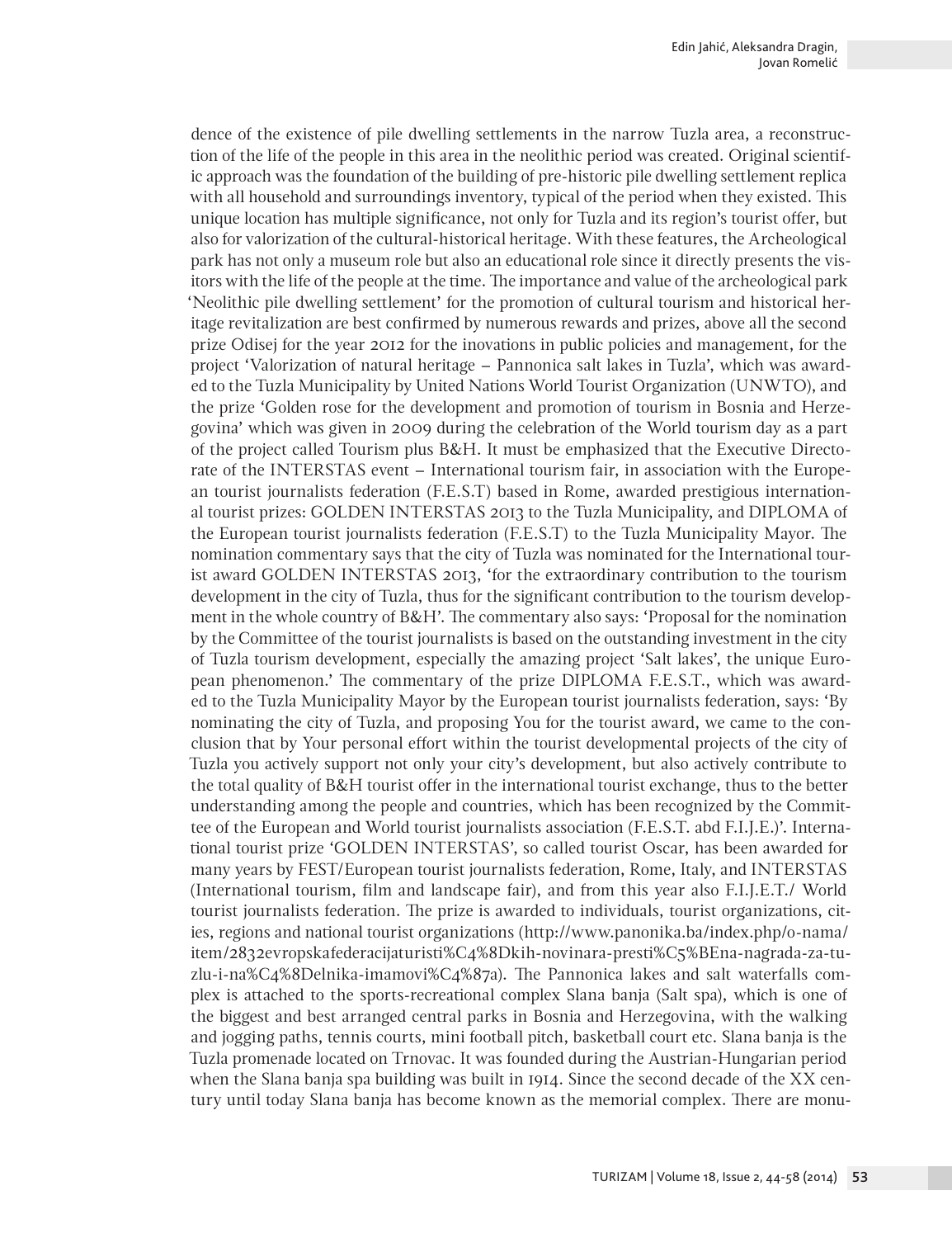dence of the existence of pile dwelling settlements in the narrow Tuzla area, a reconstruction of the life of the people in this area in the neolithic period was created. Original scientific approach was the foundation of the building of pre-historic pile dwelling settlement replica with all household and surroundings inventory, typical of the period when they existed. This unique location has multiple significance, not only for Tuzla and its region's tourist offer, but also for valorization of the cultural-historical heritage. With these features, the Archeological park has not only a museum role but also an educational role since it directly presents the visitors with the life of the people at the time. The importance and value of the archeological park 'Neolithic pile dwelling settlement' for the promotion of cultural tourism and historical heritage revitalization are best confirmed by numerous rewards and prizes, above all the second prize Odisej for the year 2012 for the inovations in public policies and management, for the project 'Valorization of natural heritage – Pannonica salt lakes in Tuzla', which was awarded to the Tuzla Municipality by United Nations World Tourist Organization (UNWTO), and the prize 'Golden rose for the development and promotion of tourism in Bosnia and Herzegovina' which was given in 2009 during the celebration of the World tourism day as a part of the project called Tourism plus B&H. It must be emphasized that the Executive Directorate of the INTERSTAS event – International tourism fair, in association with the European tourist journalists federation (F.E.S.T) based in Rome, awarded prestigious international tourist prizes: GOLDEN INTERSTAS 2013 to the Tuzla Municipality, and DIPLOMA of the European tourist journalists federation (F.E.S.T) to the Tuzla Municipality Mayor. The nomination commentary says that the city of Tuzla was nominated for the International tourist award GOLDEN INTERSTAS 2013, 'for the extraordinary contribution to the tourism development in the city of Tuzla, thus for the significant contribution to the tourism development in the whole country of B&H'. The commentary also says: 'Proposal for the nomination by the Committee of the tourist journalists is based on the outstanding investment in the city of Tuzla tourism development, especially the amazing project 'Salt lakes', the unique European phenomenon.' The commentary of the prize DIPLOMA F.E.S.T., which was awarded to the Tuzla Municipality Mayor by the European tourist journalists federation, says: 'By nominating the city of Tuzla, and proposing You for the tourist award, we came to the conclusion that by Your personal effort within the tourist developmental projects of the city of Tuzla you actively support not only your city's development, but also actively contribute to the total quality of B&H tourist offer in the international tourist exchange, thus to the better understanding among the people and countries, which has been recognized by the Committee of the European and World tourist journalists association (F.E.S.T. abd F.I.J.E.)'. International tourist prize 'GOLDEN INTERSTAS', so called tourist Oscar, has been awarded for many years by FEST/European tourist journalists federation, Rome, Italy, and INTERSTAS (International tourism, film and landscape fair), and from this year also F.I.J.E.T./ World tourist journalists federation. The prize is awarded to individuals, tourist organizations, cities, regions and national tourist organizations (http://www.panonika.ba/index.php/o-nama/ item/2832evropskafederacijaturisti%C4%8Dkih-novinara-presti%C5%BEna-nagrada-za-tuzlu-i-na%C4%8Delnika-imamovi%C4%87a). The Pannonica lakes and salt waterfalls complex is attached to the sports-recreational complex Slana banja (Salt spa), which is one of the biggest and best arranged central parks in Bosnia and Herzegovina, with the walking and jogging paths, tennis courts, mini football pitch, basketball court etc. Slana banja is the Tuzla promenade located on Trnovac. It was founded during the Austrian-Hungarian period when the Slana banja spa building was built in 1914. Since the second decade of the XX century until today Slana banja has become known as the memorial complex. There are monu-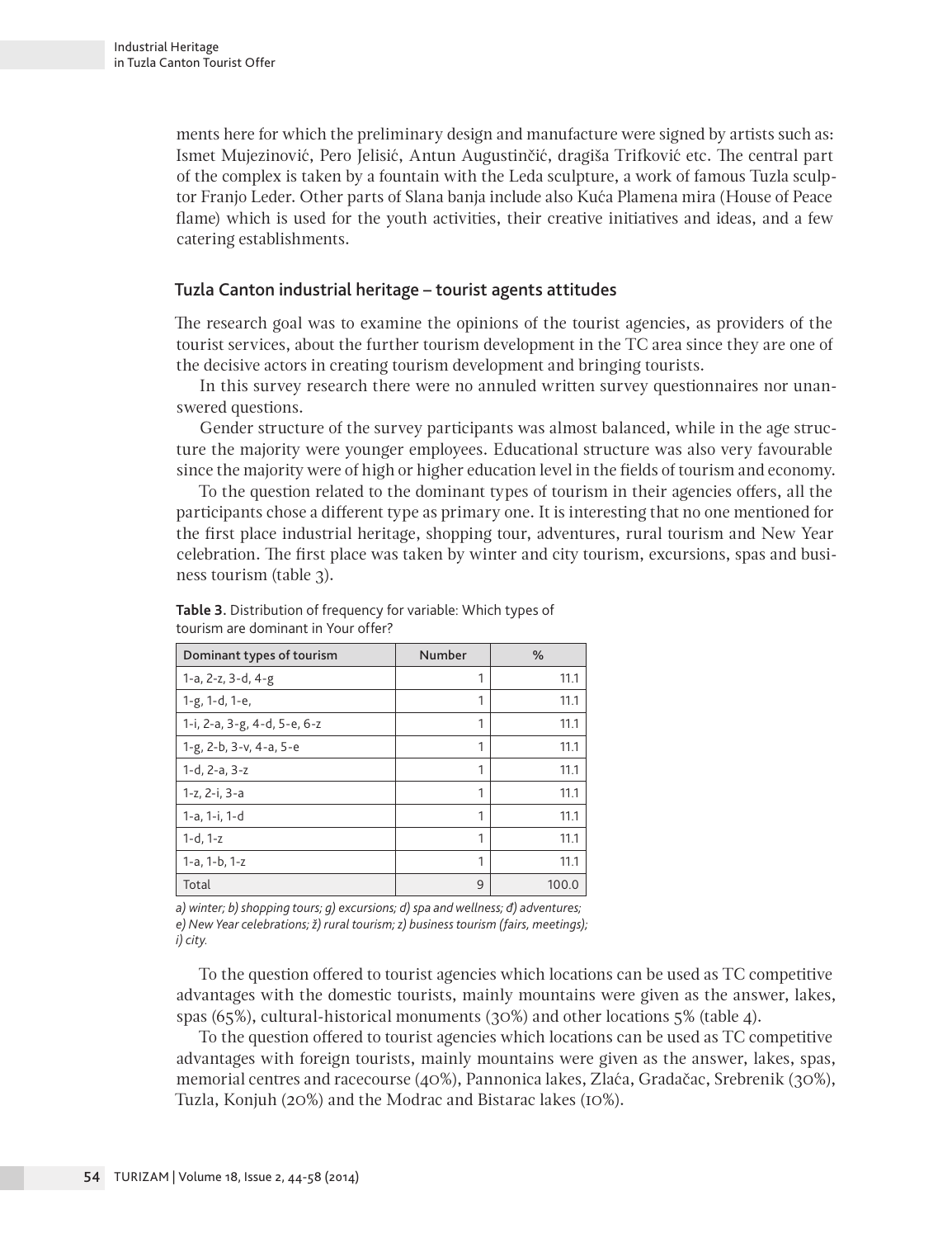ments here for which the preliminary design and manufacture were signed by artists such as: Ismet Mujezinović, Pero Jelisić, Antun Augustinčić, dragiša Trifković etc. The central part of the complex is taken by a fountain with the Leda sculpture, a work of famous Tuzla sculptor Franjo Leder. Other parts of Slana banja include also Kuća Plamena mira (House of Peace flame) which is used for the youth activities, their creative initiatives and ideas, and a few catering establishments.

#### Tuzla Canton industrial heritage – tourist agents attitudes

The research goal was to examine the opinions of the tourist agencies, as providers of the tourist services, about the further tourism development in the TC area since they are one of the decisive actors in creating tourism development and bringing tourists.

In this survey research there were no annuled written survey questionnaires nor unanswered questions.

Gender structure of the survey participants was almost balanced, while in the age structure the majority were younger employees. Educational structure was also very favourable since the majority were of high or higher education level in the fields of tourism and economy.

To the question related to the dominant types of tourism in their agencies offers, all the participants chose a different type as primary one. It is interesting that no one mentioned for the first place industrial heritage, shopping tour, adventures, rural tourism and New Year celebration. The first place was taken by winter and city tourism, excursions, spas and business tourism (table 3).

| Dominant types of tourism    | Number | $\frac{0}{0}$ |  |
|------------------------------|--------|---------------|--|
| 1-a, 2-z, 3-d, 4-g           | 1      | 11.1          |  |
| 1-g, 1-d, 1-e,               | 1      | 11.1          |  |
| 1-i, 2-a, 3-g, 4-d, 5-e, 6-z | 1      | 11.1          |  |
| 1-g, 2-b, 3-v, 4-a, 5-e      | 1      | 11.1          |  |
| 1-d, 2-a, 3-z                | 1      | 11.1          |  |
| 1-z, 2-i, 3-a                | 1      | 11.1          |  |
| 1-a, 1-i, 1-d                | 1      | 11.1          |  |
| $1-d, 1-z$                   | 1      | 11.1          |  |
| 1-a, 1-b, 1-z                | 1      | 11.1          |  |
| Total                        | 9      | 100.0         |  |

**Table 3.** Distribution of frequency for variable: Which types of tourism are dominant in Your offer?

*а) winter; b) shopping tours; g) excursions; d) spa and wellness; đ) adventures; e) New Year celebrations; ž) rural tourism; z) business tourism (fairs, meetings); i) city.*

To the question offered to tourist agencies which locations can be used as TC competitive advantages with the domestic tourists, mainly mountains were given as the answer, lakes, spas (65%), cultural-historical monuments (30%) and other locations 5% (table 4).

To the question offered to tourist agencies which locations can be used as TC competitive advantages with foreign tourists, mainly mountains were given as the answer, lakes, spas, memorial centres and racecourse (40%), Pannonica lakes, Zlaća, Gradačac, Srebrenik (30%), Tuzla, Konjuh (20%) and the Modrac and Bistarac lakes (10%).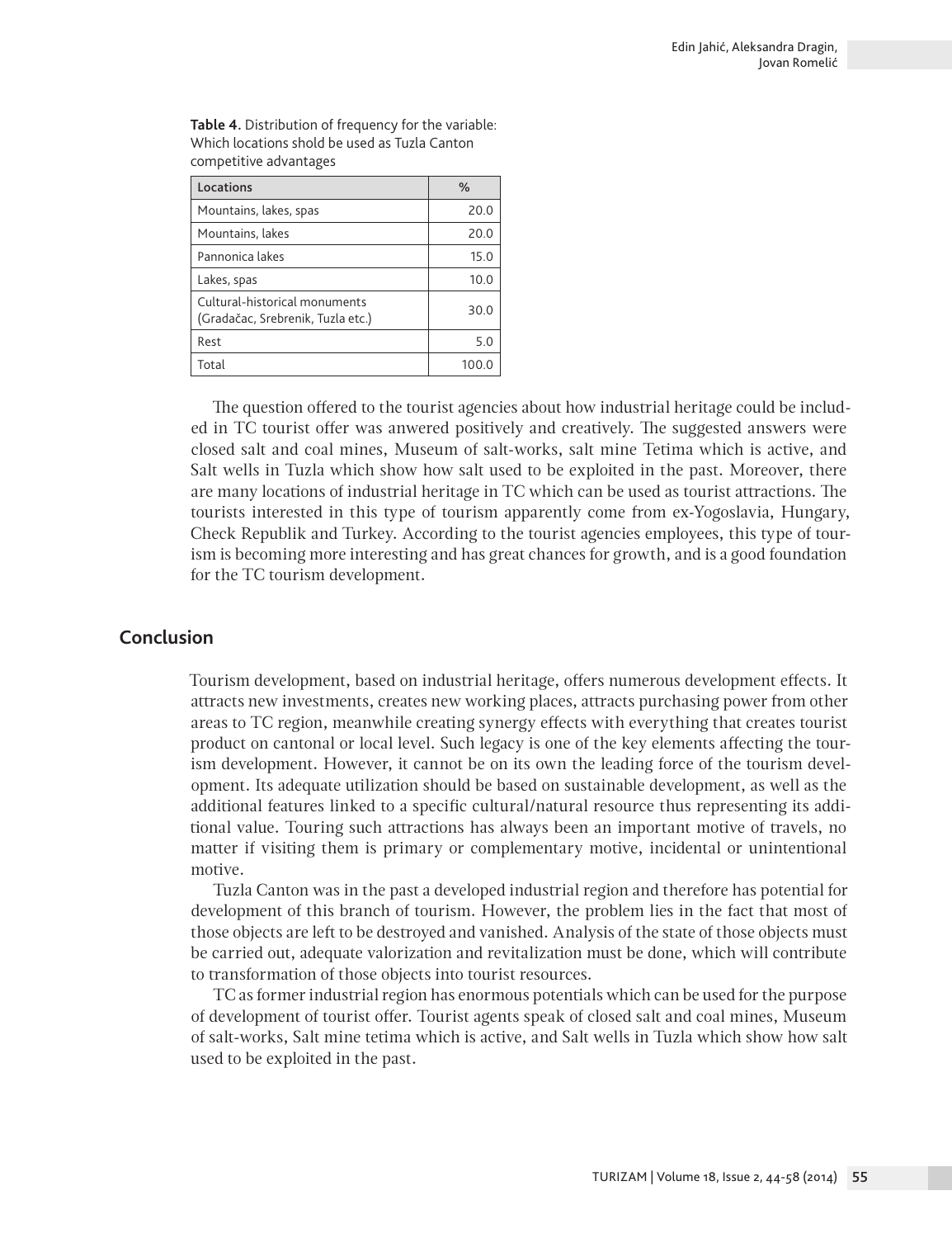| competitive dovantages                                             |      |  |  |  |  |  |
|--------------------------------------------------------------------|------|--|--|--|--|--|
| Locations                                                          | $\%$ |  |  |  |  |  |
| Mountains, lakes, spas                                             | 20.0 |  |  |  |  |  |
| Mountains, lakes                                                   | 20.0 |  |  |  |  |  |
| Pannonica lakes                                                    | 15.0 |  |  |  |  |  |
| Lakes, spas                                                        | 10.0 |  |  |  |  |  |
| Cultural-historical monuments<br>(Gradačac, Srebrenik, Tuzla etc.) | 30.0 |  |  |  |  |  |
| Rest                                                               | 5.0  |  |  |  |  |  |
| Total                                                              | 100. |  |  |  |  |  |

**Table 4.** Distribution of frequency for the variable: Which locations shold be used as Tuzla Canton competitive advantages

The question offered to the tourist agencies about how industrial heritage could be included in TC tourist offer was anwered positively and creatively. The suggested answers were closed salt and coal mines, Museum of salt-works, salt mine Tetima which is active, and Salt wells in Tuzla which show how salt used to be exploited in the past. Moreover, there are many locations of industrial heritage in TC which can be used as tourist attractions. The tourists interested in this type of tourism apparently come from ex-Yogoslavia, Hungary, Check Republik and Turkey. According to the tourist agencies employees, this type of tourism is becoming more interesting and has great chances for growth, and is a good foundation for the TC tourism development.

## **Conclusion**

Tourism development, based on industrial heritage, offers numerous development effects. It attracts new investments, creates new working places, attracts purchasing power from other areas to TC region, meanwhile creating synergy effects with everything that creates tourist product on cantonal or local level. Such legacy is one of the key elements affecting the tourism development. However, it cannot be on its own the leading force of the tourism development. Its adequate utilization should be based on sustainable development, as well as the additional features linked to a specific cultural/natural resource thus representing its additional value. Touring such attractions has always been an important motive of travels, no matter if visiting them is primary or complementary motive, incidental or unintentional motive.

Tuzla Canton was in the past a developed industrial region and therefore has potential for development of this branch of tourism. However, the problem lies in the fact that most of those objects are left to be destroyed and vanished. Analysis of the state of those objects must be carried out, adequate valorization and revitalization must be done, which will contribute to transformation of those objects into tourist resources.

TC as former industrial region has enormous potentials which can be used for the purpose of development of tourist offer. Tourist agents speak of closed salt and coal mines, Museum of salt-works, Salt mine tetima which is active, and Salt wells in Tuzla which show how salt used to be exploited in the past.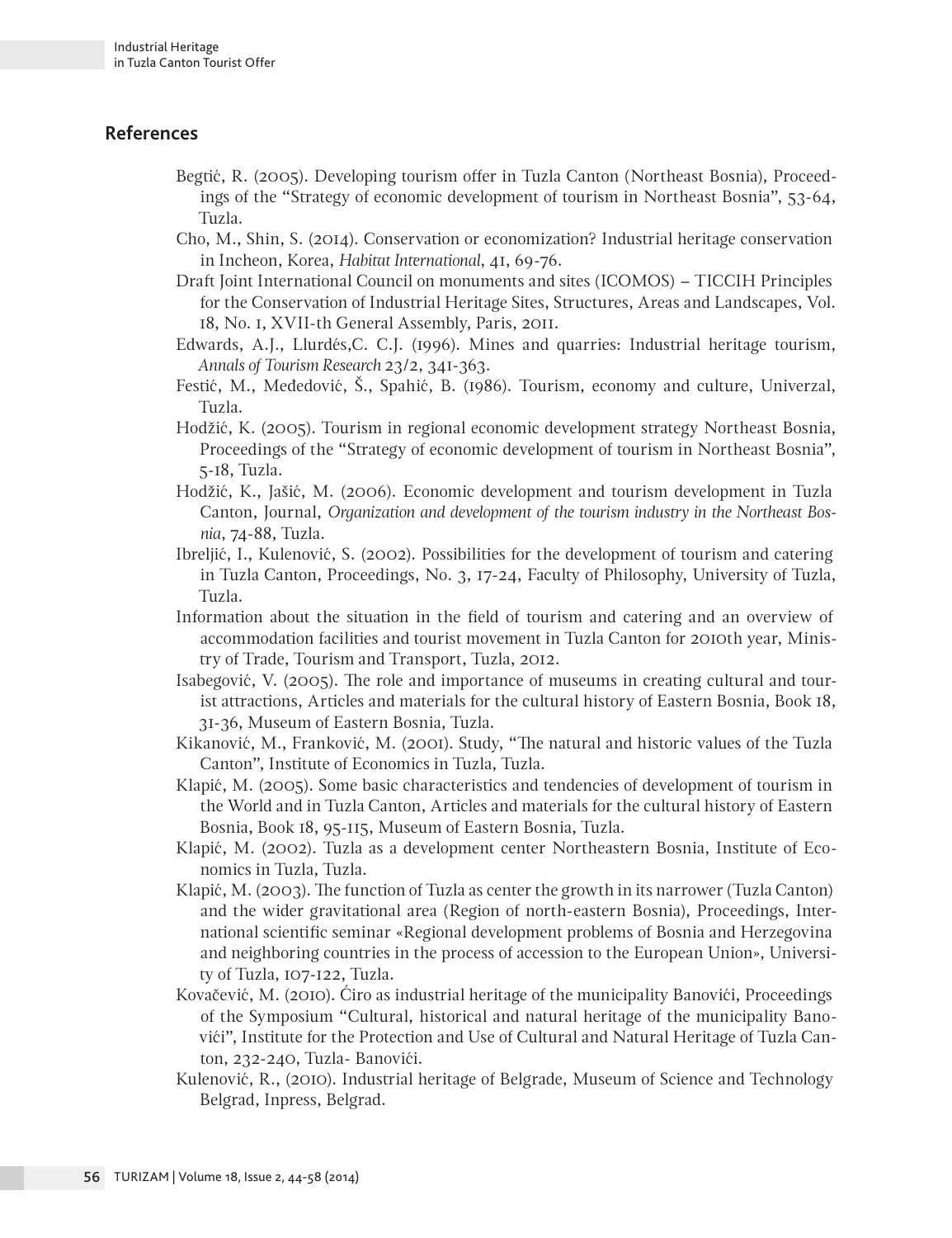# **References**

- Begtić, R. (2005). Developing tourism offer in Tuzla Canton (Northeast Bosnia), Proceedings of the "Strategy of economic development of tourism in Northeast Bosnia", 53-64, Tuzla.
- Cho, M., Shin, S. (2014). Conservation or economization? Industrial heritage conservation in Incheon, Korea, *Habitat International*, 41, 69-76.
- Draft Joint International Council on monuments and sites (ICOMOS) TICCIH Principles for the Conservation of Industrial Heritage Sites, Structures, Areas and Landscapes, Vol. 18, No. 1, XVII-th General Assembly, Paris, 2011.
- Edwards, A.J., Llurdés,C. C.J. (1996). Mines and quarries: Industrial heritage tourism, *Annals of Tourism Research* 23/2, 341-363.
- Festić, M., Međedović, Š., Spahić, B. (1986). Tourism, economy and culture, Univerzal, Tuzla.
- Hodžić, K. (2005). Tourism in regional economic development strategy Northeast Bosnia, Proceedings of the "Strategy of economic development of tourism in Northeast Bosnia", 5-18, Tuzla.
- Hodžić, K., Jašić, M. (2006). Economic development and tourism development in Tuzla Canton, Journal, *Organization and development of the tourism industry in the Northeast Bosnia*, 74-88, Tuzla.
- Ibreljić, I., Kulenović, S. (2002). Possibilities for the development of tourism and catering in Tuzla Canton, Proceedings, No. 3, 17-24, Faculty of Philosophy, University of Tuzla, Tuzla.
- Information about the situation in the field of tourism and catering and an overview of accommodation facilities and tourist movement in Tuzla Canton for 2010th year, Ministry of Trade, Tourism and Transport, Tuzla, 2012.
- Isabegović, V. (2005). The role and importance of museums in creating cultural and tourist attractions, Articles and materials for the cultural history of Eastern Bosnia, Book 18, 31-36, Museum of Eastern Bosnia, Tuzla.
- Kikanović, M., Franković, M. (2001). Study, "The natural and historic values of the Tuzla Canton", Institute of Economics in Tuzla, Tuzla.
- Klapić, M. (2005). Some basic characteristics and tendencies of development of tourism in the World and in Tuzla Canton, Articles and materials for the cultural history of Eastern Bosnia, Book 18, 95-115, Museum of Eastern Bosnia, Tuzla.
- Klapić, M. (2002). Tuzla as a development center Northeastern Bosnia, Institute of Economics in Tuzla, Tuzla.
- Klapić, M. (2003). The function of Tuzla as center the growth in its narrower (Tuzla Canton) and the wider gravitational area (Region of north-eastern Bosnia), Proceedings, International scientific seminar «Regional development problems of Bosnia and Herzegovina and neighboring countries in the process of accession to the European Union», University of Tuzla, 107-122, Tuzla.
- Kovačević, M. (2010). Ćiro as industrial heritage of the municipality Banovići, Proceedings of the Symposium "Cultural, historical and natural heritage of the municipality Banovići", Institute for the Protection and Use of Cultural and Natural Heritage of Tuzla Canton, 232-240, Tuzla- Banovići.
- Kulenović, R., (2010). Industrial heritage of Belgrade, Museum of Science and Technology Belgrad, Inpress, Belgrad.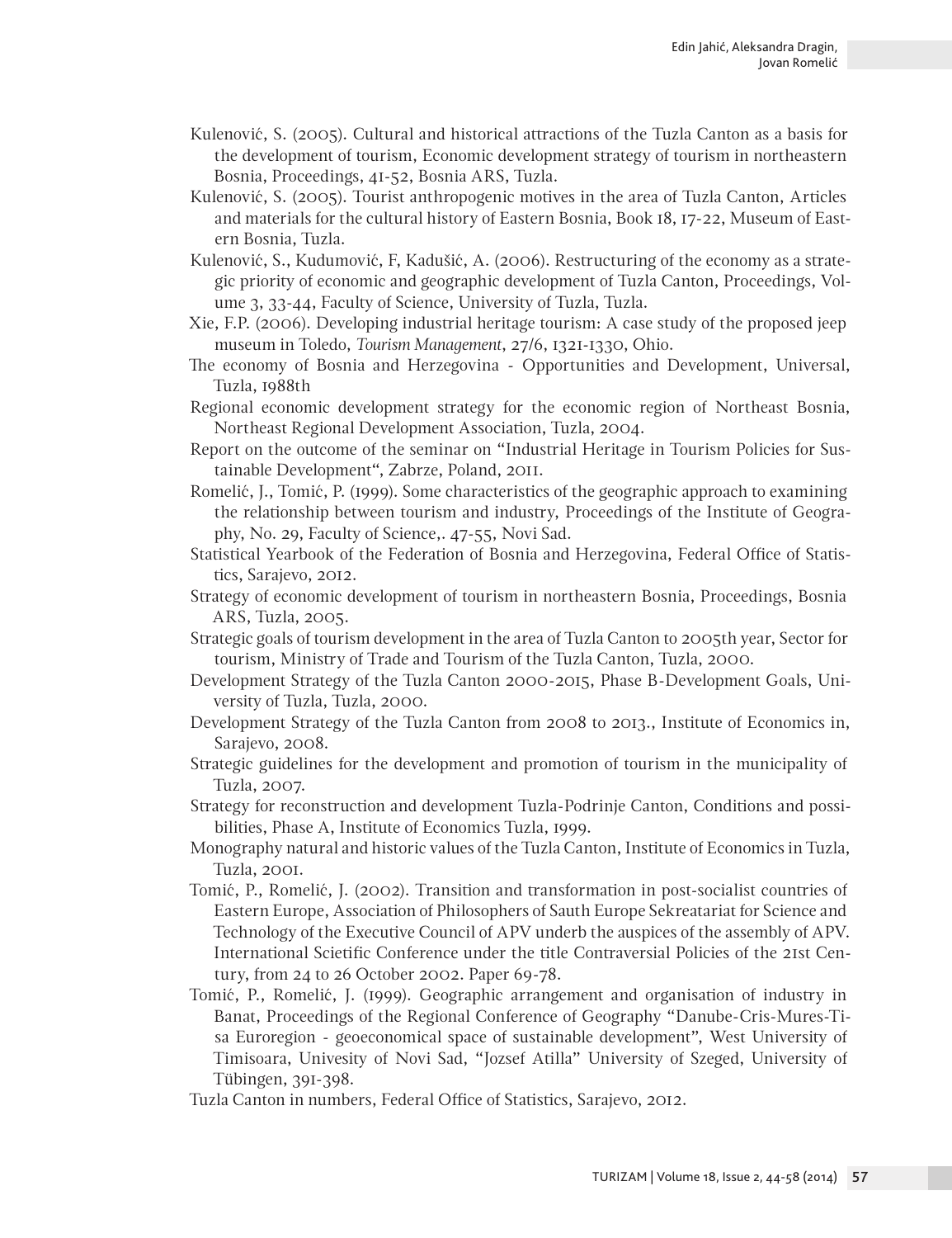- Kulenović, S. (2005). Cultural and historical attractions of the Tuzla Canton as a basis for the development of tourism, Economic development strategy of tourism in northeastern Bosnia, Proceedings, 41-52, Bosnia ARS, Tuzla.
- Kulenović, S. (2005). Tourist anthropogenic motives in the area of Tuzla Canton, Articles and materials for the cultural history of Eastern Bosnia, Book 18, 17-22, Museum of Eastern Bosnia, Tuzla.
- Kulenović, S., Kudumović, F, Kadušić, A. (2006). Restructuring of the economy as a strategic priority of economic and geographic development of Tuzla Canton, Proceedings, Volume 3, 33-44, Faculty of Science, University of Tuzla, Tuzla.
- Xie, F.P. (2006). Developing industrial heritage tourism: A case study of the proposed jeep museum in Toledo, *Tourism Management*, 27/6, 1321-1330, Ohio.
- The economy of Bosnia and Herzegovina Opportunities and Development, Universal, Tuzla, 1988th
- Regional economic development strategy for the economic region of Northeast Bosnia, Northeast Regional Development Association, Tuzla, 2004.
- Report on the outcome of the seminar on "Industrial Heritage in Tourism Policies for Sustainable Development", Zabrze, Poland, 2011.
- Romelić, J., Tomić, P. (1999). Some characteristics of the geographic approach to examining the relationship between tourism and industry, Proceedings of the Institute of Geography, No. 29, Faculty of Science,. 47-55, Novi Sad.
- Statistical Yearbook of the Federation of Bosnia and Herzegovina, Federal Office of Statistics, Sarajevo, 2012.
- Strategy of economic development of tourism in northeastern Bosnia, Proceedings, Bosnia ARS, Tuzla, 2005.
- Strategic goals of tourism development in the area of Tuzla Canton to 2005th year, Sector for tourism, Ministry of Trade and Tourism of the Tuzla Canton, Tuzla, 2000.
- Development Strategy of the Tuzla Canton 2000-2015, Phase B-Development Goals, University of Tuzla, Tuzla, 2000.
- Development Strategy of the Tuzla Canton from 2008 to 2013., Institute of Economics in, Sarajevo, 2008.
- Strategic guidelines for the development and promotion of tourism in the municipality of Tuzla, 2007.
- Strategy for reconstruction and development Tuzla-Podrinje Canton, Conditions and possibilities, Phase A, Institute of Economics Tuzla, 1999.
- Monography natural and historic values of the Tuzla Canton, Institute of Economics in Tuzla, Tuzla, 2001.
- Tomić, P., Romelić, J. (2002). Transition and transformation in post-socialist countries of Eastern Europe, Association of Philosophers of Sauth Europe Sekreatariat for Science and Technology of the Executive Council of APV underb the auspices of the assembly of APV. International Scietific Conference under the title Contraversial Policies of the 21st Century, from 24 to 26 October 2002. Paper 69-78.
- Tomić, P., Romelić, J. (1999). Geographic arrangement and organisation of industry in Banat, Proceedings of the Regional Conference of Geography "Danube-Cris-Mures-Tisa Euroregion - geoeconomical space of sustainable development", West University of Timisoara, Univesity of Novi Sad, "Jozsef Atilla" University of Szeged, University of Tübingen, 391-398.
- Tuzla Canton in numbers, Federal Office of Statistics, Sarajevo, 2012.